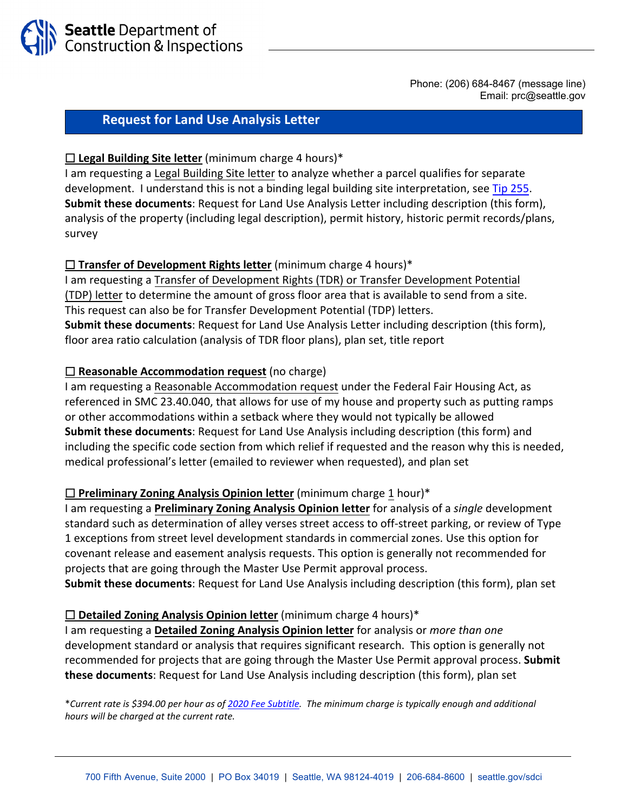

Phone: (206) 684-8467 (message line) Email: prc@seattle.gov

# **Request for Land Use Analysis Letter**

### ☐ **Legal Building Site letter** (minimum charge 4 hours)\*

I am requesting a Legal Building Site letter to analyze whether a parcel qualifies for separate development. I understand this is not a binding legal building site interpretation, see [Tip 25](http://web6.seattle.gov/DPD/CAMS/CamDetail.aspx?cn=255)5. **Submit these documents**: Request for Land Use Analysis Letter including description (this form), analysis of the property (including legal description), permit history, historic permit records/plans, survey

## □ **Transfer of Development Rights letter** (minimum charge 4 hours)<sup>\*</sup>

I am requesting a Transfer of Development Rights (TDR) or Transfer Development Potential (TDP) letter to determine the amount of gross floor area that is available to send from a site. This request can also be for Transfer Development Potential (TDP) letters. **Submit these documents**: Request for Land Use Analysis Letter including description (this form), floor area ratio calculation (analysis of TDR floor plans), plan set, title report

## ☐ **Reasonable Accommodation request** (no charge)

I am requesting a Reasonable Accommodation request under the Federal Fair Housing Act, as referenced in SMC 23.40.040, that allows for use of my house and property such as putting ramps or other accommodations within a setback where they would not typically be allowed **Submit these documents**: Request for Land Use Analysis including description (this form) and including the specific code section from which relief if requested and the reason why this is needed, medical professional's letter (emailed to reviewer when requested), and plan set

#### ☐ **Preliminary Zoning Analysis Opinion letter** (minimum charge 1 hour)\*

I am requesting a **Preliminary Zoning Analysis Opinion letter** for analysis of a *single* development standard such as determination of alley verses street access to off‐street parking, or review of Type 1 exceptions from street level development standards in commercial zones. Use this option for covenant release and easement analysis requests. This option is generally not recommended for projects that are going through the Master Use Permit approval process.

**Submit these documents**: Request for Land Use Analysis including description (this form), plan set

#### □ **Detailed Zoning Analysis Opinion letter** (minimum charge 4 hours)<sup>\*</sup>

I am requesting a **Detailed Zoning Analysis Opinion letter** for analysis or *more than one* development standard or analysis that requires significant research. This option is generally not recommended for projects that are going through the Master Use Permit approval process. **Submit these documents**: Request for Land Use Analysis including description (this form), plan set

\**Current rate is \$394.00 per hour as of [2020 Fee Subtitle](http://www.seattle.gov/Documents/Departments/SDCI/Codes/FeeSubtitleFinal.pdf). The minimum charge is typically enough and additional hours will be charged at the current rate.*